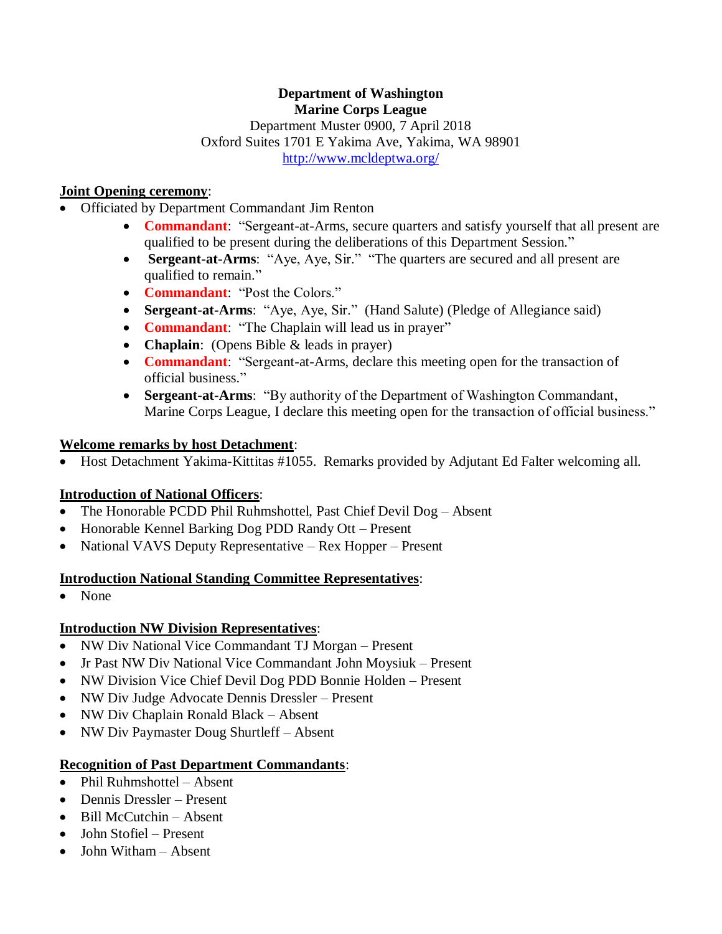#### **Department of Washington Marine Corps League**

Department Muster 0900, 7 April 2018 Oxford Suites 1701 E Yakima Ave, Yakima, WA 98901 <http://www.mcldeptwa.org/>

# **Joint Opening ceremony**:

- Officiated by Department Commandant Jim Renton
	- **Commandant**: "Sergeant-at-Arms, secure quarters and satisfy yourself that all present are qualified to be present during the deliberations of this Department Session."
	- **Sergeant-at-Arms**: "Aye, Aye, Sir." "The quarters are secured and all present are qualified to remain."
	- **Commandant**: "Post the Colors."
	- **Sergeant-at-Arms**: "Aye, Aye, Sir." (Hand Salute) (Pledge of Allegiance said)
	- **Commandant**: "The Chaplain will lead us in prayer"
	- **Chaplain**: (Opens Bible & leads in prayer)
	- **Commandant**: "Sergeant-at-Arms, declare this meeting open for the transaction of official business."
	- **Sergeant-at-Arms**: "By authority of the Department of Washington Commandant, Marine Corps League, I declare this meeting open for the transaction of official business."

# **Welcome remarks by host Detachment**:

• Host Detachment Yakima-Kittitas #1055. Remarks provided by Adjutant Ed Falter welcoming all.

# **Introduction of National Officers**:

- The Honorable PCDD Phil Ruhmshottel, Past Chief Devil Dog Absent
- Honorable Kennel Barking Dog PDD Randy Ott Present
- National VAVS Deputy Representative Rex Hopper Present

# **Introduction National Standing Committee Representatives**:

• None

# **Introduction NW Division Representatives**:

- NW Div National Vice Commandant TJ Morgan Present
- Jr Past NW Div National Vice Commandant John Moysiuk Present
- NW Division Vice Chief Devil Dog PDD Bonnie Holden Present
- NW Div Judge Advocate Dennis Dressler Present
- NW Div Chaplain Ronald Black Absent
- NW Div Paymaster Doug Shurtleff Absent

# **Recognition of Past Department Commandants**:

- Phil Ruhmshottel Absent
- Dennis Dressler Present
- Bill McCutchin Absent
- John Stofiel Present
- John Witham Absent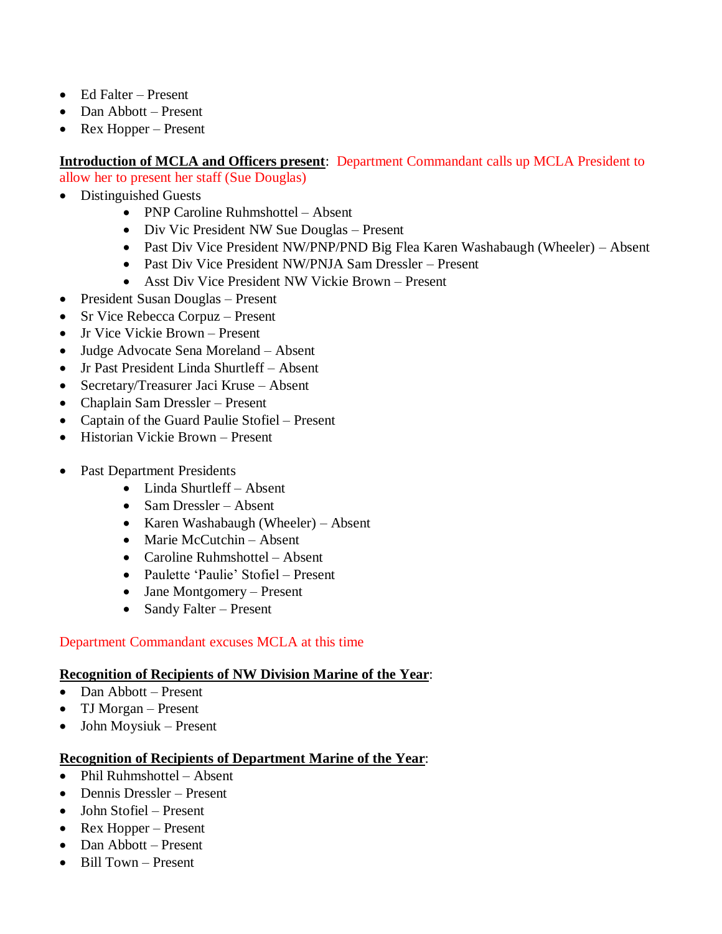- Ed Falter Present
- Dan Abbott Present
- Rex Hopper Present

# **Introduction of MCLA and Officers present**: Department Commandant calls up MCLA President to

allow her to present her staff (Sue Douglas)

- Distinguished Guests
	- PNP Caroline Ruhmshottel Absent
	- Div Vic President NW Sue Douglas Present
	- Past Div Vice President NW/PNP/PND Big Flea Karen Washabaugh (Wheeler) Absent
	- Past Div Vice President NW/PNJA Sam Dressler Present
	- Asst Div Vice President NW Vickie Brown Present
- President Susan Douglas Present
- Sr Vice Rebecca Corpuz Present
- Jr Vice Vickie Brown Present
- Judge Advocate Sena Moreland Absent
- Jr Past President Linda Shurtleff Absent
- Secretary/Treasurer Jaci Kruse Absent
- Chaplain Sam Dressler Present
- Captain of the Guard Paulie Stofiel Present
- Historian Vickie Brown Present
- Past Department Presidents
	- Linda Shurtleff Absent
	- Sam Dressler Absent
	- Karen Washabaugh (Wheeler) Absent
	- Marie McCutchin Absent
	- Caroline Ruhmshottel Absent
	- Paulette 'Paulie' Stofiel Present
	- Jane Montgomery Present
	- Sandy Falter Present

# Department Commandant excuses MCLA at this time

# **Recognition of Recipients of NW Division Marine of the Year**:

- Dan Abbott Present
- TJ Morgan Present
- John Moysiuk Present

# **Recognition of Recipients of Department Marine of the Year**:

- Phil Ruhmshottel Absent
- Dennis Dressler Present
- John Stofiel Present
- Rex Hopper Present
- Dan Abbott Present
- Bill Town Present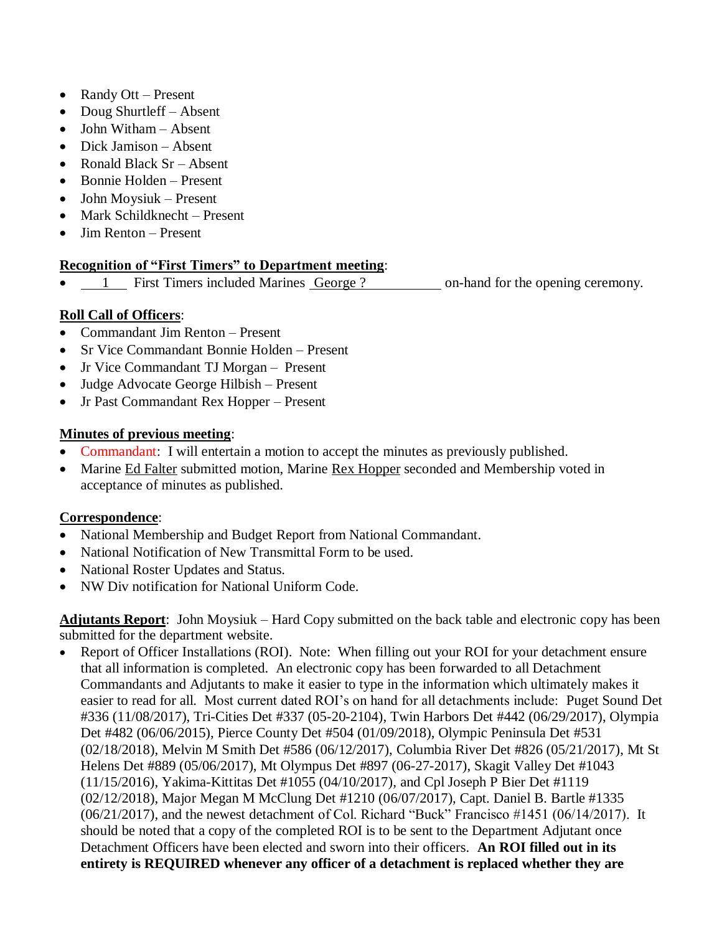- Randy Ott Present
- Doug Shurtleff Absent
- John Witham Absent
- Dick Jamison Absent
- Ronald Black Sr Absent
- Bonnie Holden Present
- John Moysiuk Present
- Mark Schildknecht Present
- Jim Renton Present

# **Recognition of "First Timers" to Department meeting**:

1 First Timers included Marines George ? on-hand for the opening ceremony.

# **Roll Call of Officers**:

- Commandant Jim Renton Present
- Sr Vice Commandant Bonnie Holden Present
- Jr Vice Commandant TJ Morgan Present
- Judge Advocate George Hilbish Present
- Jr Past Commandant Rex Hopper Present

# **Minutes of previous meeting**:

- Commandant: I will entertain a motion to accept the minutes as previously published.
- Marine Ed Falter submitted motion, Marine Rex Hopper seconded and Membership voted in acceptance of minutes as published.

# **Correspondence**:

- National Membership and Budget Report from National Commandant.
- National Notification of New Transmittal Form to be used.
- National Roster Updates and Status.
- NW Div notification for National Uniform Code.

**Adjutants Report**: John Moysiuk – Hard Copy submitted on the back table and electronic copy has been submitted for the department website.

• Report of Officer Installations (ROI). Note: When filling out your ROI for your detachment ensure that all information is completed. An electronic copy has been forwarded to all Detachment Commandants and Adjutants to make it easier to type in the information which ultimately makes it easier to read for all. Most current dated ROI's on hand for all detachments include: Puget Sound Det #336 (11/08/2017), Tri-Cities Det #337 (05-20-2104), Twin Harbors Det #442 (06/29/2017), Olympia Det #482 (06/06/2015), Pierce County Det #504 (01/09/2018), Olympic Peninsula Det #531 (02/18/2018), Melvin M Smith Det #586 (06/12/2017), Columbia River Det #826 (05/21/2017), Mt St Helens Det #889 (05/06/2017), Mt Olympus Det #897 (06-27-2017), Skagit Valley Det #1043 (11/15/2016), Yakima-Kittitas Det #1055 (04/10/2017), and Cpl Joseph P Bier Det #1119 (02/12/2018), Major Megan M McClung Det #1210 (06/07/2017), Capt. Daniel B. Bartle #1335 (06/21/2017), and the newest detachment of Col. Richard "Buck" Francisco #1451 (06/14/2017). It should be noted that a copy of the completed ROI is to be sent to the Department Adjutant once Detachment Officers have been elected and sworn into their officers. **An ROI filled out in its entirety is REQUIRED whenever any officer of a detachment is replaced whether they are**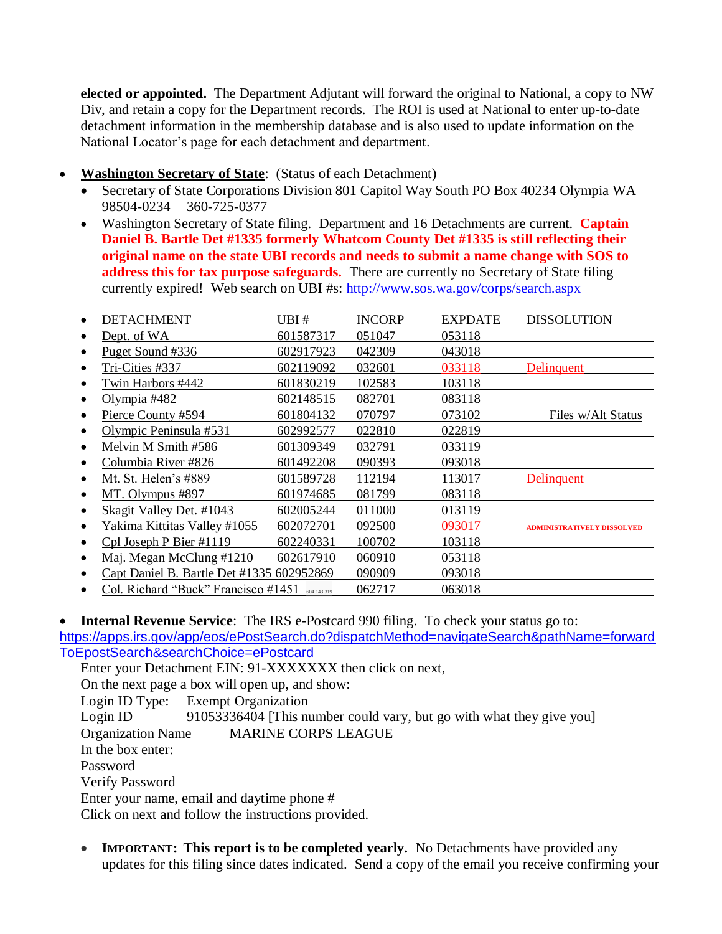**elected or appointed.** The Department Adjutant will forward the original to National, a copy to NW Div, and retain a copy for the Department records. The ROI is used at National to enter up-to-date detachment information in the membership database and is also used to update information on the National Locator's page for each detachment and department.

- **Washington Secretary of State**: (Status of each Detachment)
	- Secretary of State Corporations Division 801 Capitol Way South PO Box 40234 Olympia WA 98504-0234 360-725-0377
	- Washington Secretary of State filing. Department and 16 Detachments are current. **Captain Daniel B. Bartle Det #1335 formerly Whatcom County Det #1335 is still reflecting their original name on the state UBI records and needs to submit a name change with SOS to address this for tax purpose safeguards.** There are currently no Secretary of State filing currently expired! Web search on UBI #s:<http://www.sos.wa.gov/corps/search.aspx>

| <b>DETACHMENT</b>                         | UBI #       | <b>INCORP</b> | <b>EXPDATE</b> | <b>DISSOLUTION</b>                |
|-------------------------------------------|-------------|---------------|----------------|-----------------------------------|
| Dept. of WA                               | 601587317   | 051047        | 053118         |                                   |
| Puget Sound #336                          | 602917923   | 042309        | 043018         |                                   |
| Tri-Cities #337                           | 602119092   | 032601        | 033118         | Delinquent                        |
| Twin Harbors #442                         | 601830219   | 102583        | 103118         |                                   |
| Olympia #482                              | 602148515   | 082701        | 083118         |                                   |
| Pierce County #594                        | 601804132   | 070797        | 073102         | Files w/Alt Status                |
| Olympic Peninsula #531                    | 602992577   | 022810        | 022819         |                                   |
| Melvin M Smith #586                       | 601309349   | 032791        | 033119         |                                   |
| Columbia River #826                       | 601492208   | 090393        | 093018         |                                   |
| Mt. St. Helen's #889                      | 601589728   | 112194        | 113017         | Delinquent                        |
| MT. Olympus #897                          | 601974685   | 081799        | 083118         |                                   |
| Skagit Valley Det. #1043                  | 602005244   | 011000        | 013119         |                                   |
| Yakima Kittitas Valley #1055              | 602072701   | 092500        | 093017         | <b>ADMINISTRATIVELY DISSOLVED</b> |
| Cpl Joseph P Bier #1119                   | 602240331   | 100702        | 103118         |                                   |
| Maj. Megan McClung #1210<br>$\bullet$     | 602617910   | 060910        | 053118         |                                   |
| Capt Daniel B. Bartle Det #1335 602952869 |             | 090909        | 093018         |                                   |
| Col. Richard "Buck" Francisco #1451       | 604 143 319 | 062717        | 063018         |                                   |

• **Internal Revenue Service**: The IRS e-Postcard 990 filing. To check your status go to:

[https://apps.irs.gov/app/eos/ePostSearch.do?dispatchMethod=navigateSearch&pathName=forward](https://apps.irs.gov/app/eos/ePostSearch.do?dispatchMethod=navigateSearch&pathName=forwardToEpostSearch&searchChoice=ePostcard) [ToEpostSearch&searchChoice=ePostcard](https://apps.irs.gov/app/eos/ePostSearch.do?dispatchMethod=navigateSearch&pathName=forwardToEpostSearch&searchChoice=ePostcard)

Enter your Detachment EIN: 91-XXXXXXX then click on next, On the next page a box will open up, and show: Login ID Type: Exempt Organization Login ID 91053336404 [This number could vary, but go with what they give you] Organization Name MARINE CORPS LEAGUE In the box enter: Password Verify Password Enter your name, email and daytime phone # Click on next and follow the instructions provided.

• **IMPORTANT:** This report is to be completed yearly. No Detachments have provided any updates for this filing since dates indicated. Send a copy of the email you receive confirming your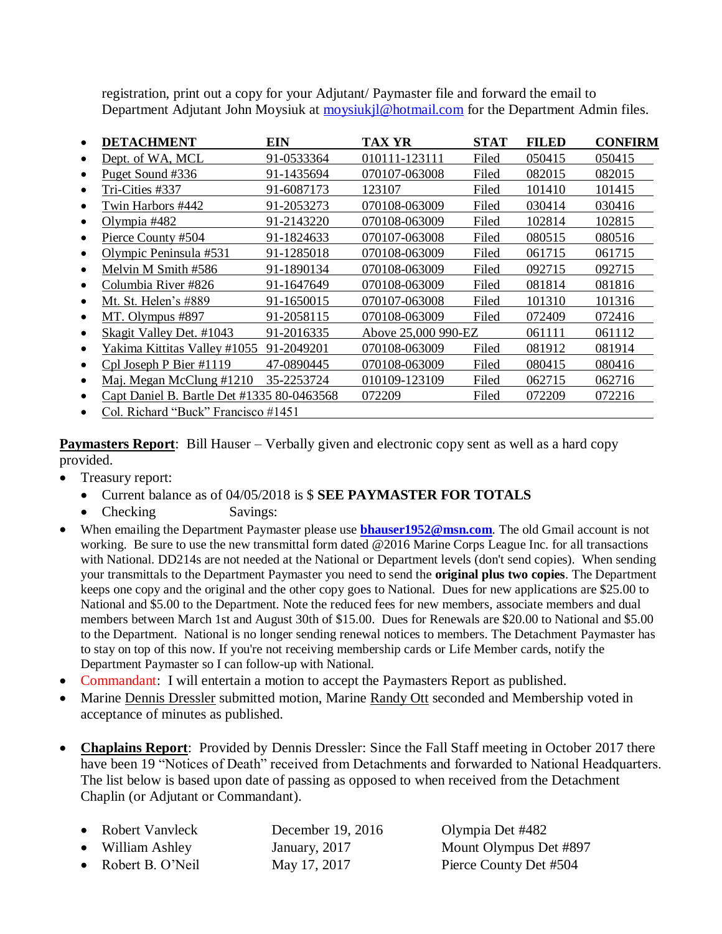registration, print out a copy for your Adjutant/ Paymaster file and forward the email to Department Adjutant John Moysiuk at [moysiukjl@hotmail.com](mailto:moysiukjl@hotmail.com) for the Department Admin files.

| <b>DETACHMENT</b>                          | EIN        | TAX YR              | <b>STAT</b> | <b>FILED</b> | <b>CONFIRM</b> |
|--------------------------------------------|------------|---------------------|-------------|--------------|----------------|
| Dept. of WA, MCL                           | 91-0533364 | 010111-123111       | Filed       | 050415       | 050415         |
| Puget Sound #336                           | 91-1435694 | 070107-063008       | Filed       | 082015       | 082015         |
| Tri-Cities #337                            | 91-6087173 | 123107              | Filed       | 101410       | 101415         |
| Twin Harbors #442                          | 91-2053273 | 070108-063009       | Filed       | 030414       | 030416         |
| Olympia $#482$                             | 91-2143220 | 070108-063009       | Filed       | 102814       | 102815         |
| Pierce County #504                         | 91-1824633 | 070107-063008       | Filed       | 080515       | 080516         |
| Olympic Peninsula #531                     | 91-1285018 | 070108-063009       | Filed       | 061715       | 061715         |
| Melvin M Smith #586                        | 91-1890134 | 070108-063009       | Filed       | 092715       | 092715         |
| Columbia River #826                        | 91-1647649 | 070108-063009       | Filed       | 081814       | 081816         |
| Mt. St. Helen's #889                       | 91-1650015 | 070107-063008       | Filed       | 101310       | 101316         |
| MT. Olympus #897                           | 91-2058115 | 070108-063009       | Filed       | 072409       | 072416         |
| Skagit Valley Det. #1043                   | 91-2016335 | Above 25,000 990-EZ |             | 061111       | 061112         |
| Yakima Kittitas Valley #1055               | 91-2049201 | 070108-063009       | Filed       | 081912       | 081914         |
| Cpl Joseph P Bier #1119                    | 47-0890445 | 070108-063009       | Filed       | 080415       | 080416         |
| Maj. Megan McClung #1210                   | 35-2253724 | 010109-123109       | Filed       | 062715       | 062716         |
| Capt Daniel B. Bartle Det #1335 80-0463568 |            | 072209              | Filed       | 072209       | 072216         |
| Col. Richard "Buck" Francisco #1451        |            |                     |             |              |                |

**Paymasters Report**: Bill Hauser – Verbally given and electronic copy sent as well as a hard copy provided.

- Treasury report:
	- Current balance as of 04/05/2018 is \$ **SEE PAYMASTER FOR TOTALS**
	- Checking Savings:
- When emailing the Department Paymaster please use **[bhauser1952@msn.com](mailto:bhauser1952@msn.com)**. The old Gmail account is not working. Be sure to use the new transmittal form dated @2016 Marine Corps League Inc. for all transactions with National. DD214s are not needed at the National or Department levels (don't send copies). When sending your transmittals to the Department Paymaster you need to send the **original plus two copies**. The Department keeps one copy and the original and the other copy goes to National. Dues for new applications are \$25.00 to National and \$5.00 to the Department. Note the reduced fees for new members, associate members and dual members between March 1st and August 30th of \$15.00. Dues for Renewals are \$20.00 to National and \$5.00 to the Department. National is no longer sending renewal notices to members. The Detachment Paymaster has to stay on top of this now. If you're not receiving membership cards or Life Member cards, notify the Department Paymaster so I can follow-up with National.
- Commandant: I will entertain a motion to accept the Paymasters Report as published.
- Marine Dennis Dressler submitted motion, Marine Randy Ott seconded and Membership voted in acceptance of minutes as published.
- **Chaplains Report**: Provided by Dennis Dressler: Since the Fall Staff meeting in October 2017 there have been 19 "Notices of Death" received from Detachments and forwarded to National Headquarters. The list below is based upon date of passing as opposed to when received from the Detachment Chaplin (or Adjutant or Commandant).

| • Robert Vanvleck  | December 19, 2016 | Olyi |
|--------------------|-------------------|------|
| • William Ashley   | January, 2017     | Mou  |
| • Robert B. O'Neil | May 17, 2017      | Pier |

npia Det #482 Int Olympus Det #897 ee County Det #504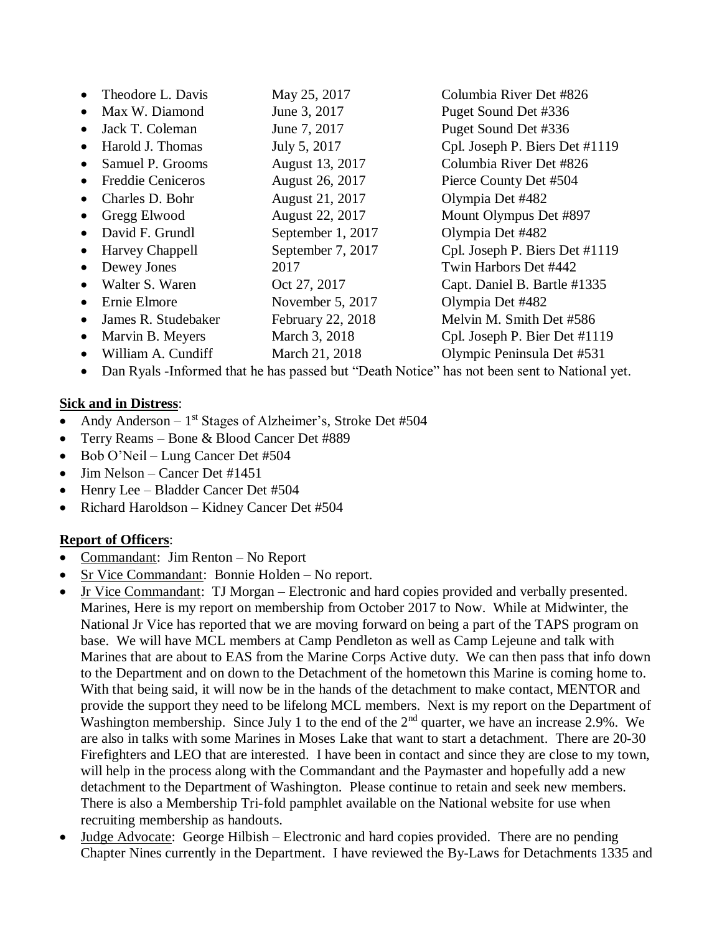|           | Theodore L. Davis        | May 25, 2017      | Columbia River Det #826        |
|-----------|--------------------------|-------------------|--------------------------------|
|           | Max W. Diamond           | June 3, 2017      | Puget Sound Det #336           |
| $\bullet$ | Jack T. Coleman          | June 7, 2017      | Puget Sound Det #336           |
| $\bullet$ | Harold J. Thomas         | July 5, 2017      | Cpl. Joseph P. Biers Det #1119 |
|           | Samuel P. Grooms         | August 13, 2017   | Columbia River Det #826        |
| $\bullet$ | <b>Freddie Ceniceros</b> | August 26, 2017   | Pierce County Det #504         |
| $\bullet$ | Charles D. Bohr          | August 21, 2017   | Olympia Det #482               |
|           | Gregg Elwood             | August 22, 2017   | Mount Olympus Det #897         |
| $\bullet$ | David F. Grundl          | September 1, 2017 | Olympia Det #482               |
| $\bullet$ | Harvey Chappell          | September 7, 2017 | Cpl. Joseph P. Biers Det #1119 |
|           | Dewey Jones              | 2017              | Twin Harbors Det #442          |
| $\bullet$ | Walter S. Waren          | Oct 27, 2017      | Capt. Daniel B. Bartle #1335   |
| $\bullet$ | Ernie Elmore             | November 5, 2017  | Olympia Det #482               |
| $\bullet$ | James R. Studebaker      | February 22, 2018 | Melvin M. Smith Det #586       |
| $\bullet$ | Marvin B. Meyers         | March 3, 2018     | Cpl. Joseph P. Bier Det #1119  |
|           | William A. Cundiff       | March 21, 2018    | Olympic Peninsula Det #531     |

• Dan Ryals -Informed that he has passed but "Death Notice" has not been sent to National yet.

#### **Sick and in Distress**:

- Andy Anderson  $-1$ <sup>st</sup> Stages of Alzheimer's, Stroke Det #504
- Terry Reams Bone & Blood Cancer Det #889
- Bob O'Neil Lung Cancer Det #504
- Jim Nelson Cancer Det #1451
- Henry Lee Bladder Cancer Det #504
- Richard Haroldson Kidney Cancer Det #504

# **Report of Officers**:

- Commandant: Jim Renton No Report
- Sr Vice Commandant: Bonnie Holden No report.
- Jr Vice Commandant: TJ Morgan Electronic and hard copies provided and verbally presented. Marines, Here is my report on membership from October 2017 to Now. While at Midwinter, the National Jr Vice has reported that we are moving forward on being a part of the TAPS program on base. We will have MCL members at Camp Pendleton as well as Camp Lejeune and talk with Marines that are about to EAS from the Marine Corps Active duty. We can then pass that info down to the Department and on down to the Detachment of the hometown this Marine is coming home to. With that being said, it will now be in the hands of the detachment to make contact, MENTOR and provide the support they need to be lifelong MCL members. Next is my report on the Department of Washington membership. Since July 1 to the end of the 2<sup>nd</sup> quarter, we have an increase 2.9%. We are also in talks with some Marines in Moses Lake that want to start a detachment. There are 20-30 Firefighters and LEO that are interested. I have been in contact and since they are close to my town, will help in the process along with the Commandant and the Paymaster and hopefully add a new detachment to the Department of Washington. Please continue to retain and seek new members. There is also a Membership Tri-fold pamphlet available on the National website for use when recruiting membership as handouts.
- Judge Advocate: George Hilbish Electronic and hard copies provided. There are no pending Chapter Nines currently in the Department. I have reviewed the By-Laws for Detachments 1335 and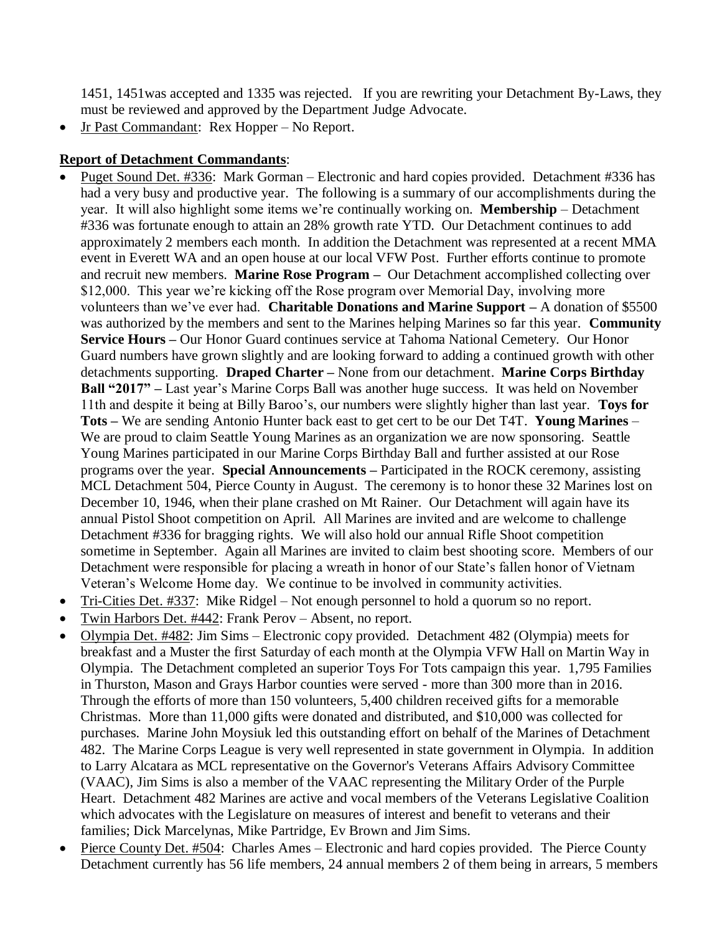1451, 1451was accepted and 1335 was rejected. If you are rewriting your Detachment By-Laws, they must be reviewed and approved by the Department Judge Advocate.

• Jr Past Commandant: Rex Hopper – No Report.

#### **Report of Detachment Commandants**:

- Puget Sound Det. #336: Mark Gorman Electronic and hard copies provided. Detachment #336 has had a very busy and productive year. The following is a summary of our accomplishments during the year. It will also highlight some items we're continually working on. **Membership** – Detachment #336 was fortunate enough to attain an 28% growth rate YTD. Our Detachment continues to add approximately 2 members each month. In addition the Detachment was represented at a recent MMA event in Everett WA and an open house at our local VFW Post. Further efforts continue to promote and recruit new members. **Marine Rose Program –** Our Detachment accomplished collecting over \$12,000. This year we're kicking off the Rose program over Memorial Day, involving more volunteers than we've ever had. **Charitable Donations and Marine Support –** A donation of \$5500 was authorized by the members and sent to the Marines helping Marines so far this year. **Community Service Hours –** Our Honor Guard continues service at Tahoma National Cemetery. Our Honor Guard numbers have grown slightly and are looking forward to adding a continued growth with other detachments supporting. **Draped Charter –** None from our detachment. **Marine Corps Birthday Ball "2017" –** Last year's Marine Corps Ball was another huge success. It was held on November 11th and despite it being at Billy Baroo's, our numbers were slightly higher than last year. **Toys for Tots –** We are sending Antonio Hunter back east to get cert to be our Det T4T. **Young Marines** – We are proud to claim Seattle Young Marines as an organization we are now sponsoring. Seattle Young Marines participated in our Marine Corps Birthday Ball and further assisted at our Rose programs over the year. **Special Announcements –** Participated in the ROCK ceremony, assisting MCL Detachment 504, Pierce County in August. The ceremony is to honor these 32 Marines lost on December 10, 1946, when their plane crashed on Mt Rainer. Our Detachment will again have its annual Pistol Shoot competition on April. All Marines are invited and are welcome to challenge Detachment #336 for bragging rights. We will also hold our annual Rifle Shoot competition sometime in September. Again all Marines are invited to claim best shooting score. Members of our Detachment were responsible for placing a wreath in honor of our State's fallen honor of Vietnam Veteran's Welcome Home day. We continue to be involved in community activities.
- Tri-Cities Det. #337: Mike Ridgel Not enough personnel to hold a quorum so no report.
- Twin Harbors Det. #442: Frank Perov Absent, no report.
- Olympia Det. #482: Jim Sims Electronic copy provided. Detachment 482 (Olympia) meets for breakfast and a Muster the first Saturday of each month at the Olympia VFW Hall on Martin Way in Olympia. The Detachment completed an superior Toys For Tots campaign this year. 1,795 Families in Thurston, Mason and Grays Harbor counties were served - more than 300 more than in 2016. Through the efforts of more than 150 volunteers, 5,400 children received gifts for a memorable Christmas. More than 11,000 gifts were donated and distributed, and \$10,000 was collected for purchases. Marine John Moysiuk led this outstanding effort on behalf of the Marines of Detachment 482. The Marine Corps League is very well represented in state government in Olympia. In addition to Larry Alcatara as MCL representative on the Governor's Veterans Affairs Advisory Committee (VAAC), Jim Sims is also a member of the VAAC representing the Military Order of the Purple Heart. Detachment 482 Marines are active and vocal members of the Veterans Legislative Coalition which advocates with the Legislature on measures of interest and benefit to veterans and their families; Dick Marcelynas, Mike Partridge, Ev Brown and Jim Sims.
- Pierce County Det. #504: Charles Ames Electronic and hard copies provided. The Pierce County Detachment currently has 56 life members, 24 annual members 2 of them being in arrears, 5 members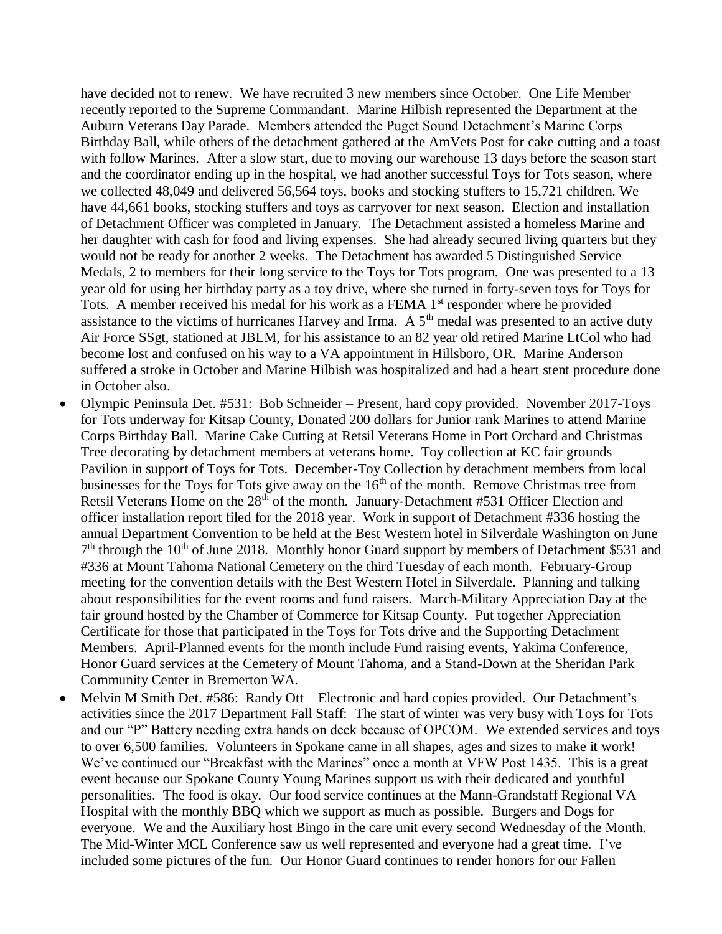have decided not to renew. We have recruited 3 new members since October. One Life Member recently reported to the Supreme Commandant. Marine Hilbish represented the Department at the Auburn Veterans Day Parade. Members attended the Puget Sound Detachment's Marine Corps Birthday Ball, while others of the detachment gathered at the AmVets Post for cake cutting and a toast with follow Marines. After a slow start, due to moving our warehouse 13 days before the season start and the coordinator ending up in the hospital, we had another successful Toys for Tots season, where we collected 48,049 and delivered 56,564 toys, books and stocking stuffers to 15,721 children. We have 44,661 books, stocking stuffers and toys as carryover for next season. Election and installation of Detachment Officer was completed in January. The Detachment assisted a homeless Marine and her daughter with cash for food and living expenses. She had already secured living quarters but they would not be ready for another 2 weeks. The Detachment has awarded 5 Distinguished Service Medals, 2 to members for their long service to the Toys for Tots program. One was presented to a 13 year old for using her birthday party as a toy drive, where she turned in forty-seven toys for Toys for Tots. A member received his medal for his work as a FEMA 1<sup>st</sup> responder where he provided assistance to the victims of hurricanes Harvey and Irma. A  $5<sup>th</sup>$  medal was presented to an active duty Air Force SSgt, stationed at JBLM, for his assistance to an 82 year old retired Marine LtCol who had become lost and confused on his way to a VA appointment in Hillsboro, OR. Marine Anderson suffered a stroke in October and Marine Hilbish was hospitalized and had a heart stent procedure done in October also.

- Olympic Peninsula Det. #531: Bob Schneider Present, hard copy provided. November 2017-Toys for Tots underway for Kitsap County, Donated 200 dollars for Junior rank Marines to attend Marine Corps Birthday Ball. Marine Cake Cutting at Retsil Veterans Home in Port Orchard and Christmas Tree decorating by detachment members at veterans home. Toy collection at KC fair grounds Pavilion in support of Toys for Tots. December-Toy Collection by detachment members from local businesses for the Toys for Tots give away on the  $16<sup>th</sup>$  of the month. Remove Christmas tree from Retsil Veterans Home on the 28<sup>th</sup> of the month. January-Detachment #531 Officer Election and officer installation report filed for the 2018 year. Work in support of Detachment #336 hosting the annual Department Convention to be held at the Best Western hotel in Silverdale Washington on June 7<sup>th</sup> through the 10<sup>th</sup> of June 2018. Monthly honor Guard support by members of Detachment \$531 and #336 at Mount Tahoma National Cemetery on the third Tuesday of each month. February-Group meeting for the convention details with the Best Western Hotel in Silverdale. Planning and talking about responsibilities for the event rooms and fund raisers. March-Military Appreciation Day at the fair ground hosted by the Chamber of Commerce for Kitsap County. Put together Appreciation Certificate for those that participated in the Toys for Tots drive and the Supporting Detachment Members. April-Planned events for the month include Fund raising events, Yakima Conference, Honor Guard services at the Cemetery of Mount Tahoma, and a Stand-Down at the Sheridan Park Community Center in Bremerton WA.
- Melvin M Smith Det. #586: Randy Ott Electronic and hard copies provided. Our Detachment's activities since the 2017 Department Fall Staff: The start of winter was very busy with Toys for Tots and our "P" Battery needing extra hands on deck because of OPCOM. We extended services and toys to over 6,500 families. Volunteers in Spokane came in all shapes, ages and sizes to make it work! We've continued our "Breakfast with the Marines" once a month at VFW Post 1435. This is a great event because our Spokane County Young Marines support us with their dedicated and youthful personalities. The food is okay. Our food service continues at the Mann-Grandstaff Regional VA Hospital with the monthly BBQ which we support as much as possible. Burgers and Dogs for everyone. We and the Auxiliary host Bingo in the care unit every second Wednesday of the Month. The Mid-Winter MCL Conference saw us well represented and everyone had a great time. I've included some pictures of the fun. Our Honor Guard continues to render honors for our Fallen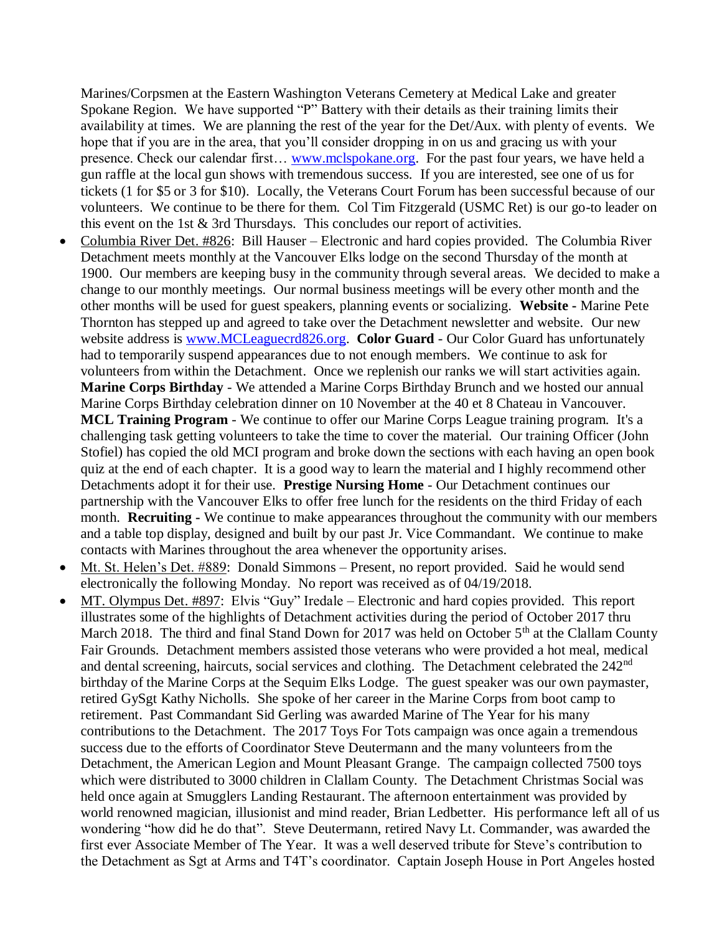Marines/Corpsmen at the Eastern Washington Veterans Cemetery at Medical Lake and greater Spokane Region. We have supported "P" Battery with their details as their training limits their availability at times. We are planning the rest of the year for the Det/Aux. with plenty of events. We hope that if you are in the area, that you'll consider dropping in on us and gracing us with your presence. Check our calendar first… [www.mclspokane.org.](http://www.mclspokane.org/) For the past four years, we have held a gun raffle at the local gun shows with tremendous success. If you are interested, see one of us for tickets (1 for \$5 or 3 for \$10). Locally, the Veterans Court Forum has been successful because of our volunteers. We continue to be there for them. Col Tim Fitzgerald (USMC Ret) is our go-to leader on this event on the 1st & 3rd Thursdays. This concludes our report of activities.

- Columbia River Det. #826: Bill Hauser Electronic and hard copies provided. The Columbia River Detachment meets monthly at the Vancouver Elks lodge on the second Thursday of the month at 1900. Our members are keeping busy in the community through several areas. We decided to make a change to our monthly meetings. Our normal business meetings will be every other month and the other months will be used for guest speakers, planning events or socializing. **Website -** Marine Pete Thornton has stepped up and agreed to take over the Detachment newsletter and website. Our new website address is [www.MCLeaguecrd826.org.](http://www.mcleaguecrd826.org/) **Color Guard** - Our Color Guard has unfortunately had to temporarily suspend appearances due to not enough members. We continue to ask for volunteers from within the Detachment. Once we replenish our ranks we will start activities again. **Marine Corps Birthday** - We attended a Marine Corps Birthday Brunch and we hosted our annual Marine Corps Birthday celebration dinner on 10 November at the 40 et 8 Chateau in Vancouver. **MCL Training Program** - We continue to offer our Marine Corps League training program. It's a challenging task getting volunteers to take the time to cover the material. Our training Officer (John Stofiel) has copied the old MCI program and broke down the sections with each having an open book quiz at the end of each chapter. It is a good way to learn the material and I highly recommend other Detachments adopt it for their use. **Prestige Nursing Home** - Our Detachment continues our partnership with the Vancouver Elks to offer free lunch for the residents on the third Friday of each month. **Recruiting -** We continue to make appearances throughout the community with our members and a table top display, designed and built by our past Jr. Vice Commandant. We continue to make contacts with Marines throughout the area whenever the opportunity arises.
- Mt. St. Helen's Det. #889: Donald Simmons Present, no report provided. Said he would send electronically the following Monday. No report was received as of 04/19/2018.
- MT. Olympus Det. #897: Elvis "Guy" Iredale Electronic and hard copies provided. This report illustrates some of the highlights of Detachment activities during the period of October 2017 thru March 2018. The third and final Stand Down for 2017 was held on October  $5<sup>th</sup>$  at the Clallam County Fair Grounds. Detachment members assisted those veterans who were provided a hot meal, medical and dental screening, haircuts, social services and clothing. The Detachment celebrated the 242<sup>nd</sup> birthday of the Marine Corps at the Sequim Elks Lodge. The guest speaker was our own paymaster, retired GySgt Kathy Nicholls. She spoke of her career in the Marine Corps from boot camp to retirement. Past Commandant Sid Gerling was awarded Marine of The Year for his many contributions to the Detachment. The 2017 Toys For Tots campaign was once again a tremendous success due to the efforts of Coordinator Steve Deutermann and the many volunteers from the Detachment, the American Legion and Mount Pleasant Grange. The campaign collected 7500 toys which were distributed to 3000 children in Clallam County. The Detachment Christmas Social was held once again at Smugglers Landing Restaurant. The afternoon entertainment was provided by world renowned magician, illusionist and mind reader, Brian Ledbetter. His performance left all of us wondering "how did he do that". Steve Deutermann, retired Navy Lt. Commander, was awarded the first ever Associate Member of The Year. It was a well deserved tribute for Steve's contribution to the Detachment as Sgt at Arms and T4T's coordinator. Captain Joseph House in Port Angeles hosted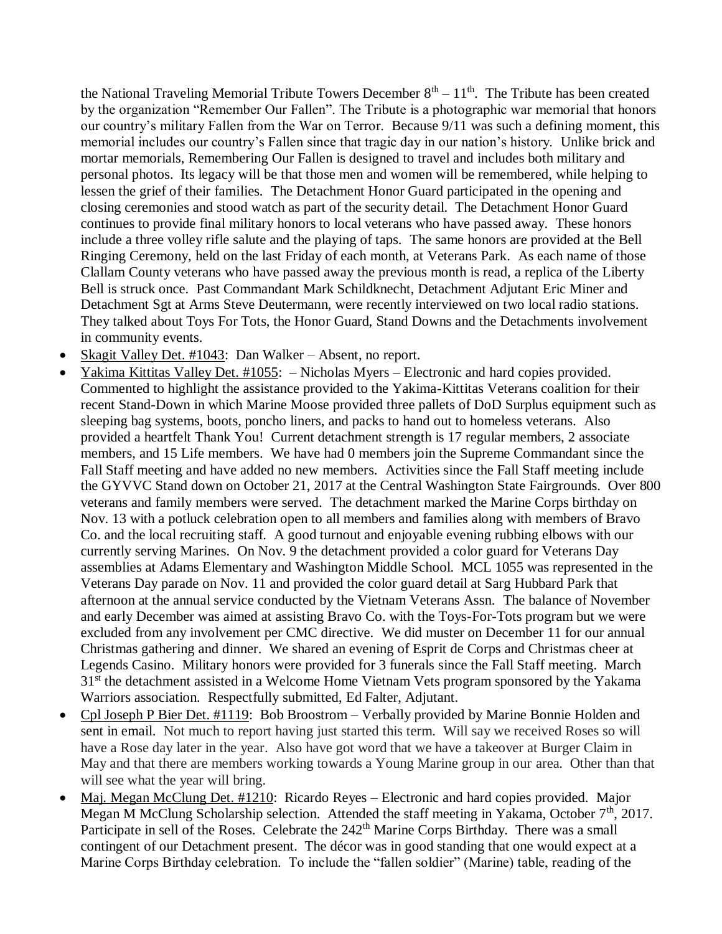the National Traveling Memorial Tribute Towers December  $8<sup>th</sup> - 11<sup>th</sup>$ . The Tribute has been created by the organization "Remember Our Fallen". The Tribute is a photographic war memorial that honors our country's military Fallen from the War on Terror. Because 9/11 was such a defining moment, this memorial includes our country's Fallen since that tragic day in our nation's history. Unlike brick and mortar memorials, Remembering Our Fallen is designed to travel and includes both military and personal photos. Its legacy will be that those men and women will be remembered, while helping to lessen the grief of their families. The Detachment Honor Guard participated in the opening and closing ceremonies and stood watch as part of the security detail. The Detachment Honor Guard continues to provide final military honors to local veterans who have passed away. These honors include a three volley rifle salute and the playing of taps. The same honors are provided at the Bell Ringing Ceremony, held on the last Friday of each month, at Veterans Park. As each name of those Clallam County veterans who have passed away the previous month is read, a replica of the Liberty Bell is struck once. Past Commandant Mark Schildknecht, Detachment Adjutant Eric Miner and Detachment Sgt at Arms Steve Deutermann, were recently interviewed on two local radio stations. They talked about Toys For Tots, the Honor Guard, Stand Downs and the Detachments involvement in community events.

- Skagit Valley Det. #1043: Dan Walker Absent, no report.
- Yakima Kittitas Valley Det. #1055: Nicholas Myers Electronic and hard copies provided. Commented to highlight the assistance provided to the Yakima-Kittitas Veterans coalition for their recent Stand-Down in which Marine Moose provided three pallets of DoD Surplus equipment such as sleeping bag systems, boots, poncho liners, and packs to hand out to homeless veterans. Also provided a heartfelt Thank You! Current detachment strength is 17 regular members, 2 associate members, and 15 Life members. We have had 0 members join the Supreme Commandant since the Fall Staff meeting and have added no new members. Activities since the Fall Staff meeting include the GYVVC Stand down on October 21, 2017 at the Central Washington State Fairgrounds. Over 800 veterans and family members were served. The detachment marked the Marine Corps birthday on Nov. 13 with a potluck celebration open to all members and families along with members of Bravo Co. and the local recruiting staff. A good turnout and enjoyable evening rubbing elbows with our currently serving Marines. On Nov. 9 the detachment provided a color guard for Veterans Day assemblies at Adams Elementary and Washington Middle School. MCL 1055 was represented in the Veterans Day parade on Nov. 11 and provided the color guard detail at Sarg Hubbard Park that afternoon at the annual service conducted by the Vietnam Veterans Assn. The balance of November and early December was aimed at assisting Bravo Co. with the Toys-For-Tots program but we were excluded from any involvement per CMC directive. We did muster on December 11 for our annual Christmas gathering and dinner. We shared an evening of Esprit de Corps and Christmas cheer at Legends Casino. Military honors were provided for 3 funerals since the Fall Staff meeting. March 31<sup>st</sup> the detachment assisted in a Welcome Home Vietnam Vets program sponsored by the Yakama Warriors association. Respectfully submitted, Ed Falter, Adjutant.
- Cpl Joseph P Bier Det. #1119: Bob Broostrom Verbally provided by Marine Bonnie Holden and sent in email. Not much to report having just started this term. Will say we received Roses so will have a Rose day later in the year. Also have got word that we have a takeover at Burger Claim in May and that there are members working towards a Young Marine group in our area. Other than that will see what the year will bring.
- Maj. Megan McClung Det. #1210: Ricardo Reyes Electronic and hard copies provided. Major Megan M McClung Scholarship selection. Attended the staff meeting in Yakama, October 7<sup>th</sup>, 2017. Participate in sell of the Roses. Celebrate the 242<sup>th</sup> Marine Corps Birthday. There was a small contingent of our Detachment present. The décor was in good standing that one would expect at a Marine Corps Birthday celebration. To include the "fallen soldier" (Marine) table, reading of the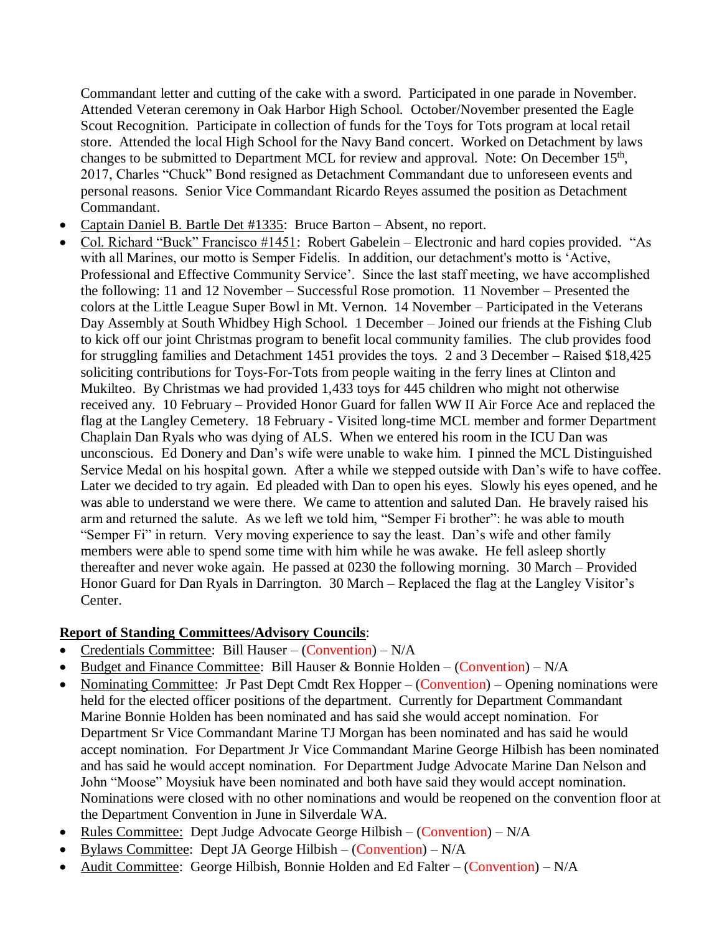Commandant letter and cutting of the cake with a sword. Participated in one parade in November. Attended Veteran ceremony in Oak Harbor High School. October/November presented the Eagle Scout Recognition. Participate in collection of funds for the Toys for Tots program at local retail store. Attended the local High School for the Navy Band concert. Worked on Detachment by laws changes to be submitted to Department MCL for review and approval. Note: On December 15<sup>th</sup>, 2017, Charles "Chuck" Bond resigned as Detachment Commandant due to unforeseen events and personal reasons. Senior Vice Commandant Ricardo Reyes assumed the position as Detachment Commandant.

- Captain Daniel B. Bartle Det #1335: Bruce Barton Absent, no report.
- Col. Richard "Buck" Francisco #1451: Robert Gabelein Electronic and hard copies provided. "As with all Marines, our motto is Semper Fidelis. In addition, our detachment's motto is 'Active, Professional and Effective Community Service'. Since the last staff meeting, we have accomplished the following: 11 and 12 November – Successful Rose promotion. 11 November – Presented the colors at the Little League Super Bowl in Mt. Vernon. 14 November – Participated in the Veterans Day Assembly at South Whidbey High School. 1 December – Joined our friends at the Fishing Club to kick off our joint Christmas program to benefit local community families. The club provides food for struggling families and Detachment 1451 provides the toys. 2 and 3 December – Raised \$18,425 soliciting contributions for Toys-For-Tots from people waiting in the ferry lines at Clinton and Mukilteo. By Christmas we had provided 1,433 toys for 445 children who might not otherwise received any. 10 February – Provided Honor Guard for fallen WW II Air Force Ace and replaced the flag at the Langley Cemetery. 18 February - Visited long-time MCL member and former Department Chaplain Dan Ryals who was dying of ALS. When we entered his room in the ICU Dan was unconscious. Ed Donery and Dan's wife were unable to wake him. I pinned the MCL Distinguished Service Medal on his hospital gown. After a while we stepped outside with Dan's wife to have coffee. Later we decided to try again. Ed pleaded with Dan to open his eyes. Slowly his eyes opened, and he was able to understand we were there. We came to attention and saluted Dan. He bravely raised his arm and returned the salute. As we left we told him, "Semper Fi brother": he was able to mouth "Semper Fi" in return. Very moving experience to say the least. Dan's wife and other family members were able to spend some time with him while he was awake. He fell asleep shortly thereafter and never woke again. He passed at 0230 the following morning. 30 March – Provided Honor Guard for Dan Ryals in Darrington. 30 March – Replaced the flag at the Langley Visitor's Center.

# **Report of Standing Committees/Advisory Councils**:

- Credentials Committee: Bill Hauser (Convention) N/A
- Budget and Finance Committee: Bill Hauser & Bonnie Holden (Convention) N/A
- Nominating Committee: Jr Past Dept Cmdt Rex Hopper (Convention) Opening nominations were held for the elected officer positions of the department. Currently for Department Commandant Marine Bonnie Holden has been nominated and has said she would accept nomination. For Department Sr Vice Commandant Marine TJ Morgan has been nominated and has said he would accept nomination. For Department Jr Vice Commandant Marine George Hilbish has been nominated and has said he would accept nomination. For Department Judge Advocate Marine Dan Nelson and John "Moose" Moysiuk have been nominated and both have said they would accept nomination. Nominations were closed with no other nominations and would be reopened on the convention floor at the Department Convention in June in Silverdale WA.
- Rules Committee: Dept Judge Advocate George Hilbish (Convention) N/A
- Bylaws Committee: Dept JA George Hilbish (Convention)  $N/A$
- Audit Committee: George Hilbish, Bonnie Holden and Ed Falter (Convention)  $N/A$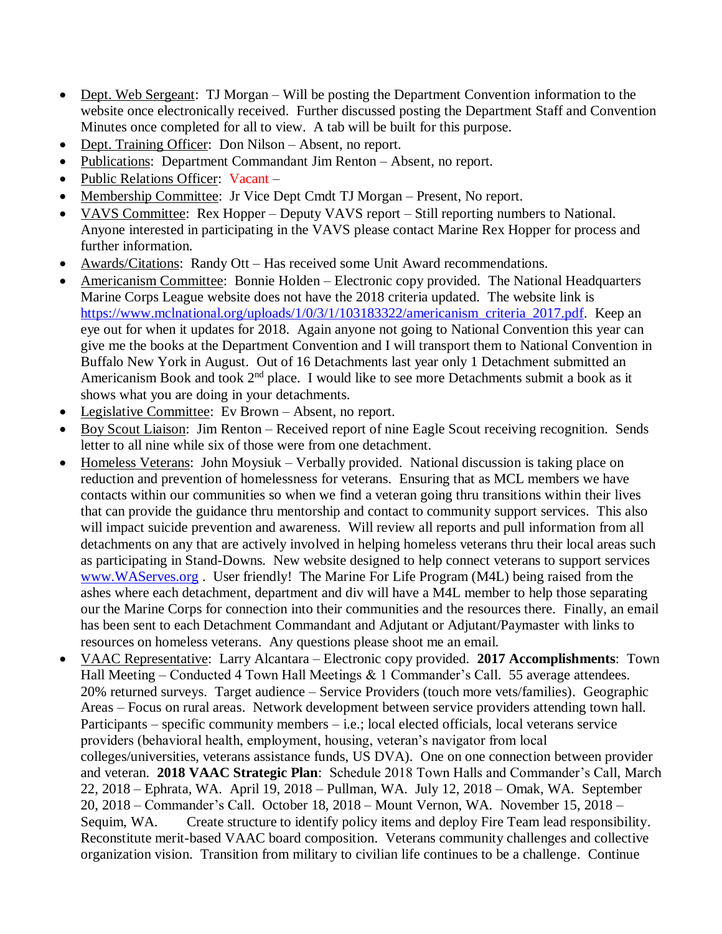- Dept. Web Sergeant: TJ Morgan Will be posting the Department Convention information to the website once electronically received. Further discussed posting the Department Staff and Convention Minutes once completed for all to view. A tab will be built for this purpose.
- Dept. Training Officer: Don Nilson Absent, no report.
- Publications: Department Commandant Jim Renton Absent, no report.
- Public Relations Officer: Vacant –
- Membership Committee: Jr Vice Dept Cmdt TJ Morgan Present, No report.
- VAVS Committee: Rex Hopper Deputy VAVS report Still reporting numbers to National. Anyone interested in participating in the VAVS please contact Marine Rex Hopper for process and further information.
- Awards/Citations: Randy Ott Has received some Unit Award recommendations.
- Americanism Committee: Bonnie Holden Electronic copy provided. The National Headquarters Marine Corps League website does not have the 2018 criteria updated. The website link is [https://www.mclnational.org/uploads/1/0/3/1/103183322/americanism\\_criteria\\_2017.pdf.](https://www.mclnational.org/uploads/1/0/3/1/103183322/americanism_criteria_2017.pdf) Keep an eye out for when it updates for 2018. Again anyone not going to National Convention this year can give me the books at the Department Convention and I will transport them to National Convention in Buffalo New York in August. Out of 16 Detachments last year only 1 Detachment submitted an Americanism Book and took 2<sup>nd</sup> place. I would like to see more Detachments submit a book as it shows what you are doing in your detachments.
- Legislative Committee: Ev Brown Absent, no report.
- Boy Scout Liaison: Jim Renton Received report of nine Eagle Scout receiving recognition. Sends letter to all nine while six of those were from one detachment.
- Homeless Veterans: John Moysiuk Verbally provided. National discussion is taking place on reduction and prevention of homelessness for veterans. Ensuring that as MCL members we have contacts within our communities so when we find a veteran going thru transitions within their lives that can provide the guidance thru mentorship and contact to community support services. This also will impact suicide prevention and awareness. Will review all reports and pull information from all detachments on any that are actively involved in helping homeless veterans thru their local areas such as participating in Stand-Downs. New website designed to help connect veterans to support services [www.WAServes.org](http://www.waserves.org/) . User friendly! The Marine For Life Program (M4L) being raised from the ashes where each detachment, department and div will have a M4L member to help those separating our the Marine Corps for connection into their communities and the resources there. Finally, an email has been sent to each Detachment Commandant and Adjutant or Adjutant/Paymaster with links to resources on homeless veterans. Any questions please shoot me an email.
- VAAC Representative: Larry Alcantara Electronic copy provided. **2017 Accomplishments**: Town Hall Meeting – Conducted 4 Town Hall Meetings  $& 1$  Commander's Call. 55 average attendees. 20% returned surveys. Target audience – Service Providers (touch more vets/families). Geographic Areas – Focus on rural areas. Network development between service providers attending town hall. Participants – specific community members – i.e.; local elected officials, local veterans service providers (behavioral health, employment, housing, veteran's navigator from local colleges/universities, veterans assistance funds, US DVA). One on one connection between provider and veteran. **2018 VAAC Strategic Plan**: Schedule 2018 Town Halls and Commander's Call, March 22, 2018 – Ephrata, WA. April 19, 2018 – Pullman, WA. July 12, 2018 – Omak, WA. September 20, 2018 – Commander's Call. October 18, 2018 – Mount Vernon, WA. November 15, 2018 – Sequim, WA. Create structure to identify policy items and deploy Fire Team lead responsibility. Reconstitute merit-based VAAC board composition. Veterans community challenges and collective organization vision. Transition from military to civilian life continues to be a challenge. Continue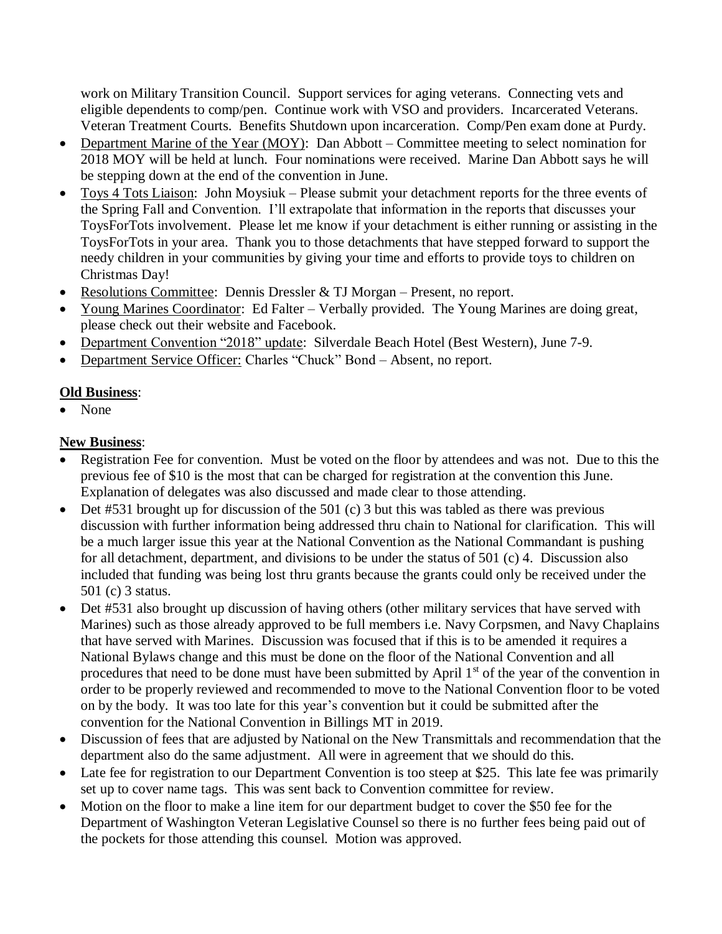work on Military Transition Council. Support services for aging veterans. Connecting vets and eligible dependents to comp/pen. Continue work with VSO and providers. Incarcerated Veterans. Veteran Treatment Courts. Benefits Shutdown upon incarceration. Comp/Pen exam done at Purdy.

- Department Marine of the Year (MOY): Dan Abbott Committee meeting to select nomination for 2018 MOY will be held at lunch. Four nominations were received. Marine Dan Abbott says he will be stepping down at the end of the convention in June.
- Toys 4 Tots Liaison: John Moysiuk Please submit your detachment reports for the three events of the Spring Fall and Convention. I'll extrapolate that information in the reports that discusses your ToysForTots involvement. Please let me know if your detachment is either running or assisting in the ToysForTots in your area. Thank you to those detachments that have stepped forward to support the needy children in your communities by giving your time and efforts to provide toys to children on Christmas Day!
- Resolutions Committee: Dennis Dressler & TJ Morgan Present, no report.
- Young Marines Coordinator: Ed Falter Verbally provided. The Young Marines are doing great, please check out their website and Facebook.
- Department Convention "2018" update: Silverdale Beach Hotel (Best Western), June 7-9.
- Department Service Officer: Charles "Chuck" Bond Absent, no report.

# **Old Business**:

• None

# **New Business**:

- Registration Fee for convention. Must be voted on the floor by attendees and was not. Due to this the previous fee of \$10 is the most that can be charged for registration at the convention this June. Explanation of delegates was also discussed and made clear to those attending.
- Det #531 brought up for discussion of the 501 (c) 3 but this was tabled as there was previous discussion with further information being addressed thru chain to National for clarification. This will be a much larger issue this year at the National Convention as the National Commandant is pushing for all detachment, department, and divisions to be under the status of 501 (c) 4. Discussion also included that funding was being lost thru grants because the grants could only be received under the 501 (c) 3 status.
- Det #531 also brought up discussion of having others (other military services that have served with Marines) such as those already approved to be full members i.e. Navy Corpsmen, and Navy Chaplains that have served with Marines. Discussion was focused that if this is to be amended it requires a National Bylaws change and this must be done on the floor of the National Convention and all procedures that need to be done must have been submitted by April 1<sup>st</sup> of the year of the convention in order to be properly reviewed and recommended to move to the National Convention floor to be voted on by the body. It was too late for this year's convention but it could be submitted after the convention for the National Convention in Billings MT in 2019.
- Discussion of fees that are adjusted by National on the New Transmittals and recommendation that the department also do the same adjustment. All were in agreement that we should do this.
- Late fee for registration to our Department Convention is too steep at \$25. This late fee was primarily set up to cover name tags. This was sent back to Convention committee for review.
- Motion on the floor to make a line item for our department budget to cover the \$50 fee for the Department of Washington Veteran Legislative Counsel so there is no further fees being paid out of the pockets for those attending this counsel. Motion was approved.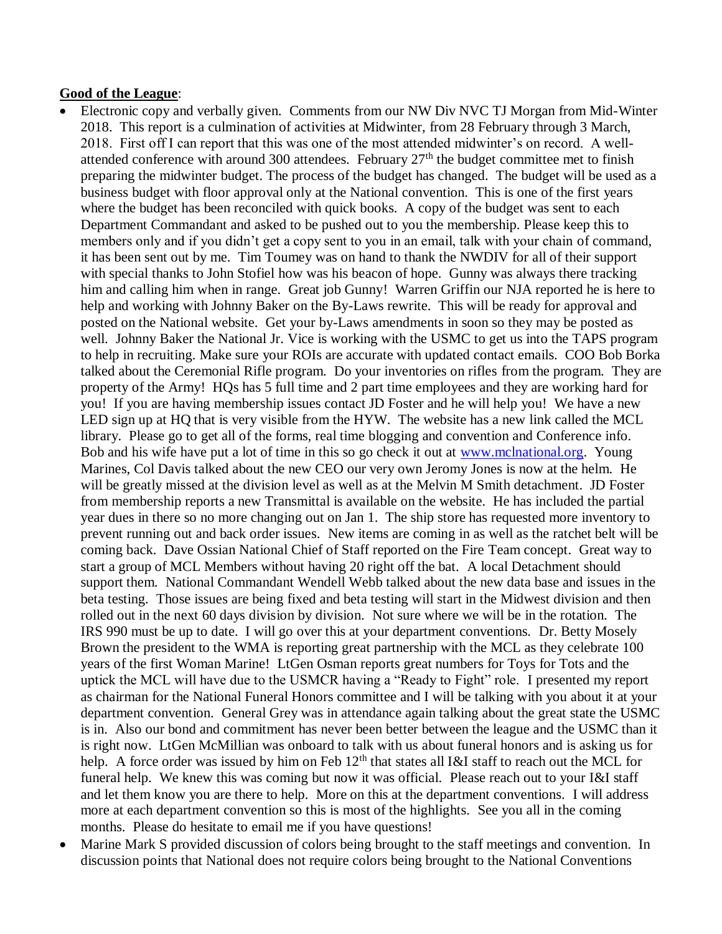#### **Good of the League**:

- Electronic copy and verbally given. Comments from our NW Div NVC TJ Morgan from Mid-Winter 2018. This report is a culmination of activities at Midwinter, from 28 February through 3 March, 2018. First off I can report that this was one of the most attended midwinter's on record. A wellattended conference with around 300 attendees. February 27th the budget committee met to finish preparing the midwinter budget. The process of the budget has changed. The budget will be used as a business budget with floor approval only at the National convention. This is one of the first years where the budget has been reconciled with quick books. A copy of the budget was sent to each Department Commandant and asked to be pushed out to you the membership. Please keep this to members only and if you didn't get a copy sent to you in an email, talk with your chain of command, it has been sent out by me. Tim Toumey was on hand to thank the NWDIV for all of their support with special thanks to John Stofiel how was his beacon of hope. Gunny was always there tracking him and calling him when in range. Great job Gunny! Warren Griffin our NJA reported he is here to help and working with Johnny Baker on the By-Laws rewrite. This will be ready for approval and posted on the National website. Get your by-Laws amendments in soon so they may be posted as well. Johnny Baker the National Jr. Vice is working with the USMC to get us into the TAPS program to help in recruiting. Make sure your ROIs are accurate with updated contact emails. COO Bob Borka talked about the Ceremonial Rifle program. Do your inventories on rifles from the program. They are property of the Army! HQs has 5 full time and 2 part time employees and they are working hard for you! If you are having membership issues contact JD Foster and he will help you! We have a new LED sign up at HQ that is very visible from the HYW. The website has a new link called the MCL library. Please go to get all of the forms, real time blogging and convention and Conference info. Bob and his wife have put a lot of time in this so go check it out at [www.mclnational.org.](http://www.mclnational.org/) Young Marines, Col Davis talked about the new CEO our very own Jeromy Jones is now at the helm. He will be greatly missed at the division level as well as at the Melvin M Smith detachment. JD Foster from membership reports a new Transmittal is available on the website. He has included the partial year dues in there so no more changing out on Jan 1. The ship store has requested more inventory to prevent running out and back order issues. New items are coming in as well as the ratchet belt will be coming back. Dave Ossian National Chief of Staff reported on the Fire Team concept. Great way to start a group of MCL Members without having 20 right off the bat. A local Detachment should support them. National Commandant Wendell Webb talked about the new data base and issues in the beta testing. Those issues are being fixed and beta testing will start in the Midwest division and then rolled out in the next 60 days division by division. Not sure where we will be in the rotation. The IRS 990 must be up to date. I will go over this at your department conventions. Dr. Betty Mosely Brown the president to the WMA is reporting great partnership with the MCL as they celebrate 100 years of the first Woman Marine! LtGen Osman reports great numbers for Toys for Tots and the uptick the MCL will have due to the USMCR having a "Ready to Fight" role. I presented my report as chairman for the National Funeral Honors committee and I will be talking with you about it at your department convention. General Grey was in attendance again talking about the great state the USMC is in. Also our bond and commitment has never been better between the league and the USMC than it is right now. LtGen McMillian was onboard to talk with us about funeral honors and is asking us for help. A force order was issued by him on Feb  $12<sup>th</sup>$  that states all I&I staff to reach out the MCL for funeral help. We knew this was coming but now it was official. Please reach out to your I&I staff and let them know you are there to help. More on this at the department conventions. I will address more at each department convention so this is most of the highlights. See you all in the coming months. Please do hesitate to email me if you have questions!
- Marine Mark S provided discussion of colors being brought to the staff meetings and convention. In discussion points that National does not require colors being brought to the National Conventions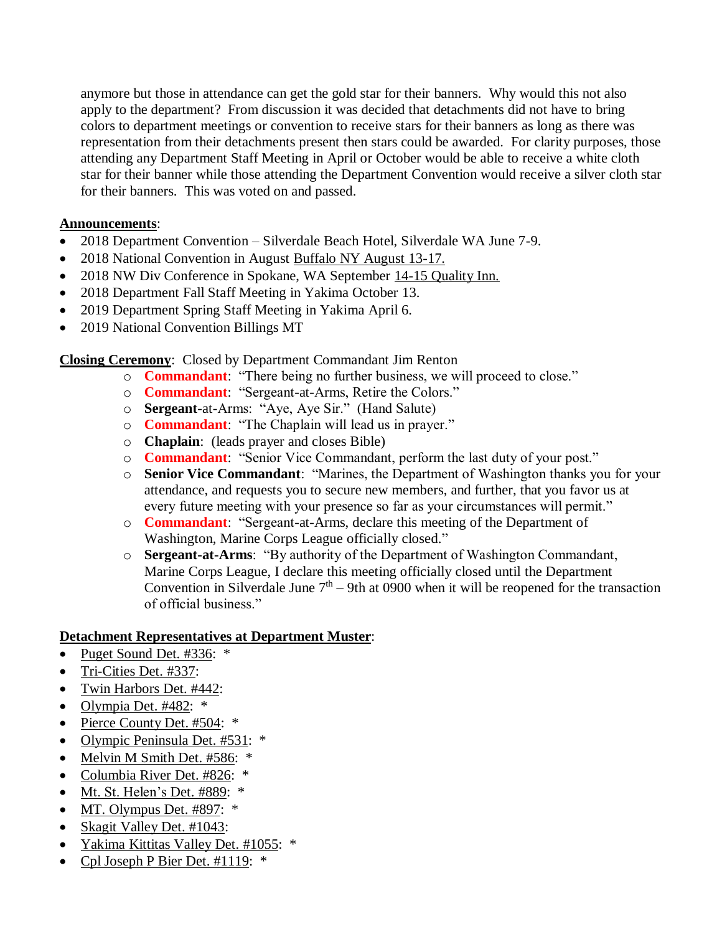anymore but those in attendance can get the gold star for their banners. Why would this not also apply to the department? From discussion it was decided that detachments did not have to bring colors to department meetings or convention to receive stars for their banners as long as there was representation from their detachments present then stars could be awarded. For clarity purposes, those attending any Department Staff Meeting in April or October would be able to receive a white cloth star for their banner while those attending the Department Convention would receive a silver cloth star for their banners. This was voted on and passed.

#### **Announcements**:

- 2018 Department Convention Silverdale Beach Hotel, Silverdale WA June 7-9.
- 2018 National Convention in August Buffalo NY August 13-17.
- 2018 NW Div Conference in Spokane, WA September 14-15 Quality Inn.
- 2018 Department Fall Staff Meeting in Yakima October 13.
- 2019 Department Spring Staff Meeting in Yakima April 6.
- 2019 National Convention Billings MT

**Closing Ceremony**: Closed by Department Commandant Jim Renton

- o **Commandant**: "There being no further business, we will proceed to close."
- o **Commandant**: "Sergeant-at-Arms, Retire the Colors."
- o **Sergeant**-at-Arms: "Aye, Aye Sir." (Hand Salute)
- o **Commandant**: "The Chaplain will lead us in prayer."
- o **Chaplain**: (leads prayer and closes Bible)
- o **Commandant**: "Senior Vice Commandant, perform the last duty of your post."
- o **Senior Vice Commandant**: "Marines, the Department of Washington thanks you for your attendance, and requests you to secure new members, and further, that you favor us at every future meeting with your presence so far as your circumstances will permit."
- o **Commandant**: "Sergeant-at-Arms, declare this meeting of the Department of Washington, Marine Corps League officially closed."
- o **Sergeant-at-Arms**: "By authority of the Department of Washington Commandant, Marine Corps League, I declare this meeting officially closed until the Department Convention in Silverdale June  $7<sup>th</sup> - 9$ th at 0900 when it will be reopened for the transaction of official business."

# **Detachment Representatives at Department Muster**:

- Puget Sound Det. #336: \*
- Tri-Cities Det. #337:
- Twin Harbors Det. #442:
- Olympia Det. #482: \*
- Pierce County Det. #504: \*
- Olympic Peninsula Det. #531: \*
- Melvin M Smith Det. #586: \*
- Columbia River Det. #826: \*
- Mt. St. Helen's Det. #889: \*
- MT. Olympus Det. #897: \*
- Skagit Valley Det. #1043:
- Yakima Kittitas Valley Det. #1055: \*
- Cpl Joseph P Bier Det. #1119: \*